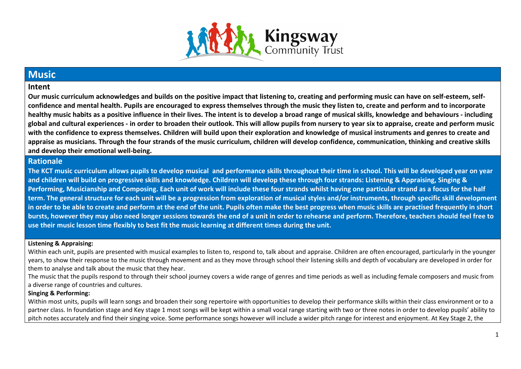

## **Music**

#### **Intent**

**Our music curriculum acknowledges and builds on the positive impact that listening to, creating and performing music can have on self-esteem, selfconfidence and mental health. Pupils are encouraged to express themselves through the music they listen to, create and perform and to incorporate healthy music habits as a positive influence in their lives. The intent is to develop a broad range of musical skills, knowledge and behaviours - including global and cultural experiences - in order to broaden their outlook. This will allow pupils from nursery to year six to appraise, create and perform music with the confidence to express themselves. Children will build upon their exploration and knowledge of musical instruments and genres to create and appraise as musicians. Through the four strands of the music curriculum, children will develop confidence, communication, thinking and creative skills and develop their emotional well-being.**

#### **Rationale**

**The KCT music curriculum allows pupils to develop musical and performance skills throughout their time in school. This will be developed year on year and children will build on progressive skills and knowledge. Children will develop these through four strands: Listening & Appraising, Singing & Performing, Musicianship and Composing. Each unit of work will include these four strands whilst having one particular strand as a focus for the half term. The general structure for each unit will be a progression from exploration of musical styles and/or instruments, through specific skill development in order to be able to create and perform at the end of the unit. Pupils often make the best progress when music skills are practised frequently in short bursts, however they may also need longer sessions towards the end of a unit in order to rehearse and perform. Therefore, teachers should feel free to use their music lesson time flexibly to best fit the music learning at different times during the unit.**

#### **Listening & Appraising:**

Within each unit, pupils are presented with musical examples to listen to, respond to, talk about and appraise. Children are often encouraged, particularly in the younger years, to show their response to the music through movement and as they move through school their listening skills and depth of vocabulary are developed in order for them to analyse and talk about the music that they hear.

The music that the pupils respond to through their school journey covers a wide range of genres and time periods as well as including female composers and music from a diverse range of countries and cultures.

#### **Singing & Performing:**

Within most units, pupils will learn songs and broaden their song repertoire with opportunities to develop their performance skills within their class environment or to a partner class. In foundation stage and Key stage 1 most songs will be kept within a small vocal range starting with two or three notes in order to develop pupils' ability to pitch notes accurately and find their singing voice. Some performance songs however will include a wider pitch range for interest and enjoyment. At Key Stage 2, the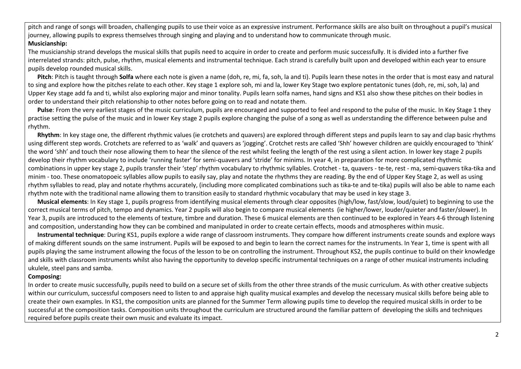pitch and range of songs will broaden, challenging pupils to use their voice as an expressive instrument. Performance skills are also built on throughout a pupil's musical journey, allowing pupils to express themselves through singing and playing and to understand how to communicate through music. **Musicianship:** 

The musicianship strand develops the musical skills that pupils need to acquire in order to create and perform music successfully. It is divided into a further five interrelated strands: pitch, pulse, rhythm, musical elements and instrumental technique. Each strand is carefully built upon and developed within each year to ensure pupils develop rounded musical skills.

 **Pitch**: Pitch is taught through **Solfa** where each note is given a name (doh, re, mi, fa, soh, la and ti). Pupils learn these notes in the order that is most easy and natural to sing and explore how the pitches relate to each other. Key stage 1 explore soh, mi and la, lower Key Stage two explore pentatonic tunes (doh, re, mi, soh, la) and Upper Key stage add fa and ti, whilst also exploring major and minor tonality. Pupils learn solfa names, hand signs and KS1 also show these pitches on their bodies in order to understand their pitch relationship to other notes before going on to read and notate them.

 **Pulse**: From the very earliest stages of the music curriculum, pupils are encouraged and supported to feel and respond to the pulse of the music. In Key Stage 1 they practise setting the pulse of the music and in lower Key stage 2 pupils explore changing the pulse of a song as well as understanding the difference between pulse and rhythm.

 **Rhythm**: In key stage one, the different rhythmic values (ie crotchets and quavers) are explored through different steps and pupils learn to say and clap basic rhythms using different step words. Crotchets are referred to as 'walk' and quavers as 'jogging'. Crotchet rests are called 'Shh' however children are quickly encouraged to 'think' the word 'shh' and touch their nose allowing them to hear the silence of the rest whilst feeling the length of the rest using a silent action. In lower key stage 2 pupils develop their rhythm vocabulary to include 'running faster' for semi-quavers and 'stride' for minims. In year 4, in preparation for more complicated rhythmic combinations in upper key stage 2, pupils transfer their 'step' rhythm vocabulary to rhythmic syllables. Crotchet - ta, quavers - te-te, rest - ma, semi-quavers tika-tika and minim - too. These onomatopoeic syllables allow pupils to easily say, play and notate the rhythms they are reading. By the end of Upper Key Stage 2, as well as using rhythm syllables to read, play and notate rhythms accurately, (including more complicated combinations such as tika-te and te-tika) pupils will also be able to name each rhythm note with the traditional name allowing them to transition easily to standard rhythmic vocabulary that may be used in key stage 3.

 **Musical elements**: In Key stage 1, pupils progress from identifying musical elements through clear opposites (high/low, fast/slow, loud/quiet) to beginning to use the correct musical terms of pitch, tempo and dynamics. Year 2 pupils will also begin to compare musical elements (ie higher/lower, louder/quieter and faster/slower). In Year 3, pupils are introduced to the elements of texture, timbre and duration. These 6 musical elements are then continued to be explored in Years 4-6 through listening and composition, understanding how they can be combined and manipulated in order to create certain effects, moods and atmospheres within music.

 **Instrumental technique**: During KS1, pupils explore a wide range of classroom instruments. They compare how different instruments create sounds and explore ways of making different sounds on the same instrument. Pupils will be exposed to and begin to learn the correct names for the instruments. In Year 1, time is spent with all pupils playing the same instrument allowing the focus of the lesson to be on controlling the instrument. Throughout KS2, the pupils continue to build on their knowledge and skills with classroom instruments whilst also having the opportunity to develop specific instrumental techniques on a range of other musical instruments including ukulele, steel pans and samba.

#### **Composing:**

In order to create music successfully, pupils need to build on a secure set of skills from the other three strands of the music curriculum. As with other creative subjects within our curriculum, successful composers need to listen to and appraise high quality musical examples and develop the necessary musical skills before being able to create their own examples. In KS1, the composition units are planned for the Summer Term allowing pupils time to develop the required musical skills in order to be successful at the composition tasks. Composition units throughout the curriculum are structured around the familiar pattern of developing the skills and techniques required before pupils create their own music and evaluate its impact.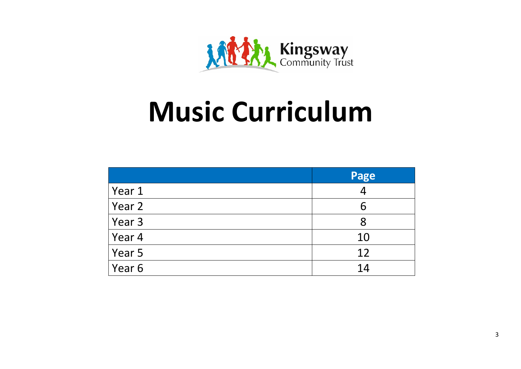

# **Music Curriculum**

|            | Page |
|------------|------|
| Year 1     | 4    |
| Year 2     | 6    |
| Year 3     | 8    |
| $ $ Year 4 | 10   |
| Year 5     | 12   |
| Year 6     | 14   |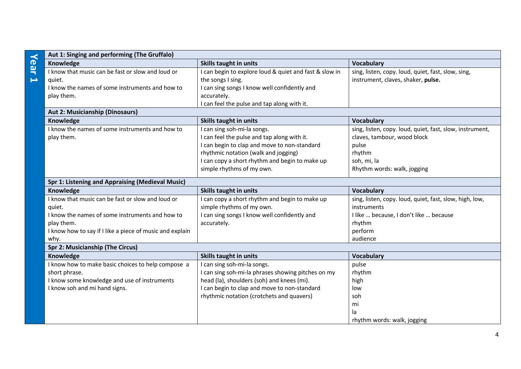|                       | Aut 1: Singing and performing (The Gruffalo)             |                                                        |                                                          |  |
|-----------------------|----------------------------------------------------------|--------------------------------------------------------|----------------------------------------------------------|--|
| Year                  | Knowledge                                                | <b>Skills taught in units</b>                          | <b>Vocabulary</b>                                        |  |
|                       | I know that music can be fast or slow and loud or        | I can begin to explore loud & quiet and fast & slow in | sing, listen, copy. loud, quiet, fast, slow, sing,       |  |
| $\blacktriangleright$ | quiet.                                                   | the songs I sing.                                      | instrument, claves, shaker, pulse.                       |  |
|                       | I know the names of some instruments and how to          | I can sing songs I know well confidently and           |                                                          |  |
|                       | play them.                                               | accurately.                                            |                                                          |  |
|                       |                                                          | I can feel the pulse and tap along with it.            |                                                          |  |
|                       | <b>Aut 2: Musicianship (Dinosaurs)</b>                   |                                                        |                                                          |  |
|                       | Knowledge                                                | Skills taught in units                                 | <b>Vocabulary</b>                                        |  |
|                       | I know the names of some instruments and how to          | I can sing soh-mi-la songs.                            | sing, listen, copy. loud, quiet, fast, slow, instrument, |  |
|                       | play them.                                               | I can feel the pulse and tap along with it.            | claves, tambour, wood block                              |  |
|                       |                                                          | I can begin to clap and move to non-standard           | pulse                                                    |  |
|                       |                                                          | rhythmic notation (walk and jogging)                   | rhythm                                                   |  |
|                       |                                                          | I can copy a short rhythm and begin to make up         | soh, mi, la                                              |  |
|                       |                                                          | simple rhythms of my own.                              | Rhythm words: walk, jogging                              |  |
|                       | Spr 1: Listening and Appraising (Medieval Music)         |                                                        |                                                          |  |
|                       | Knowledge                                                | Skills taught in units                                 | <b>Vocabulary</b>                                        |  |
|                       | I know that music can be fast or slow and loud or        | I can copy a short rhythm and begin to make up         | sing, listen, copy. loud, quiet, fast, slow, high, low,  |  |
|                       | quiet.                                                   | simple rhythms of my own.                              | instruments                                              |  |
|                       | I know the names of some instruments and how to          | I can sing songs I know well confidently and           | I like  because, I don't like  because                   |  |
|                       | play them.                                               | accurately.                                            | rhythm                                                   |  |
|                       | I know how to say if I like a piece of music and explain |                                                        | perform                                                  |  |
|                       | why.                                                     |                                                        | audience                                                 |  |
|                       | <b>Spr 2: Musicianship (The Circus)</b>                  |                                                        |                                                          |  |
|                       | Knowledge                                                | Skills taught in units                                 | <b>Vocabulary</b>                                        |  |
|                       | I know how to make basic choices to help compose a       | I can sing soh-mi-la songs.                            | pulse                                                    |  |
|                       | short phrase.                                            | I can sing soh-mi-la phrases showing pitches on my     | rhythm                                                   |  |
|                       | I know some knowledge and use of instruments             | head (la), shoulders (soh) and knees (mi).             | high                                                     |  |
|                       | I know soh and mi hand signs.                            | I can begin to clap and move to non-standard           | low                                                      |  |
|                       |                                                          | rhythmic notation (crotchets and quavers)              | soh                                                      |  |
|                       |                                                          |                                                        | mi                                                       |  |
|                       |                                                          |                                                        | la                                                       |  |
|                       |                                                          |                                                        | rhythm words: walk, jogging                              |  |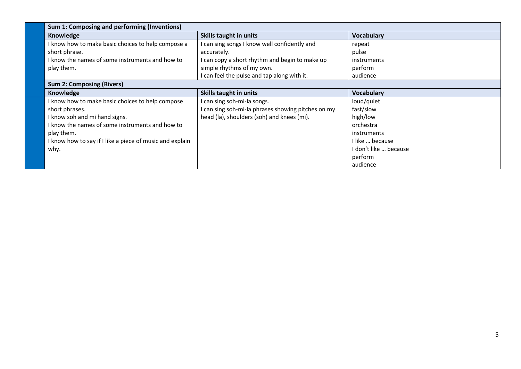| Sum 1: Composing and performing (Inventions)             |                                                    |                       |
|----------------------------------------------------------|----------------------------------------------------|-----------------------|
| Knowledge                                                | Skills taught in units                             | <b>Vocabulary</b>     |
| I know how to make basic choices to help compose a       | I can sing songs I know well confidently and       | repeat                |
| short phrase.                                            | accurately.                                        | pulse                 |
| I know the names of some instruments and how to          | I can copy a short rhythm and begin to make up     | instruments           |
| play them.                                               | simple rhythms of my own.                          | perform               |
|                                                          | I can feel the pulse and tap along with it.        | audience              |
| <b>Sum 2: Composing (Rivers)</b>                         |                                                    |                       |
| Knowledge                                                | Skills taught in units                             | <b>Vocabulary</b>     |
| I know how to make basic choices to help compose         | can sing soh-mi-la songs.                          | loud/quiet            |
| short phrases.                                           | I can sing soh-mi-la phrases showing pitches on my | fast/slow             |
| I know soh and mi hand signs.                            | head (la), shoulders (soh) and knees (mi).         | high/low              |
| I know the names of some instruments and how to          |                                                    | orchestra             |
| play them.                                               |                                                    | instruments           |
| I know how to say if I like a piece of music and explain |                                                    | I like  because       |
| why.                                                     |                                                    | I don't like  because |
|                                                          |                                                    | perform               |
|                                                          |                                                    | audience              |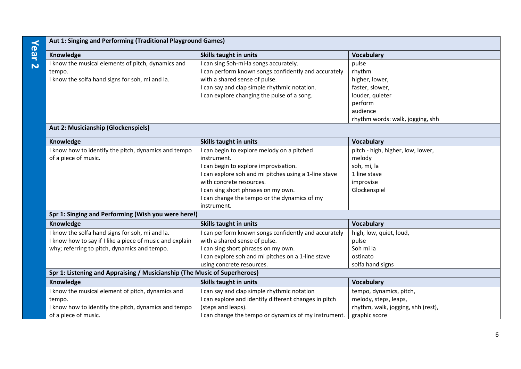# **Year 2**

| Aut 1: Singing and Performing (Traditional Playground Games) |                                                      |                                  |
|--------------------------------------------------------------|------------------------------------------------------|----------------------------------|
| Knowledge                                                    | Skills taught in units                               | <b>Vocabulary</b>                |
| I know the musical elements of pitch, dynamics and           | I can sing Soh-mi-la songs accurately.               | pulse                            |
| tempo.                                                       | I can perform known songs confidently and accurately | rhythm                           |
| I know the solfa hand signs for soh, mi and la.              | with a shared sense of pulse.                        | higher, lower,                   |
|                                                              | I can say and clap simple rhythmic notation.         | faster, slower,                  |
|                                                              | I can explore changing the pulse of a song.          | louder, quieter                  |
|                                                              |                                                      | perform                          |
|                                                              |                                                      | audience                         |
|                                                              |                                                      | rhythm words: walk, jogging, shh |

### **Aut 2: Musicianship (Glockenspiels)**

| Knowledge                                                                 | <b>Skills taught in units</b>                         | <b>Vocabulary</b>                  |  |
|---------------------------------------------------------------------------|-------------------------------------------------------|------------------------------------|--|
| I know how to identify the pitch, dynamics and tempo                      | I can begin to explore melody on a pitched            | pitch - high, higher, low, lower,  |  |
| of a piece of music.                                                      | instrument.                                           | melody                             |  |
|                                                                           | I can begin to explore improvisation.                 | soh, mi, la                        |  |
|                                                                           | I can explore soh and mi pitches using a 1-line stave | 1 line stave                       |  |
|                                                                           | with concrete resources.                              | improvise                          |  |
|                                                                           | I can sing short phrases on my own.                   | Glockenspiel                       |  |
|                                                                           | I can change the tempo or the dynamics of my          |                                    |  |
|                                                                           | instrument.                                           |                                    |  |
| Spr 1: Singing and Performing (Wish you were here!)                       |                                                       |                                    |  |
| Knowledge                                                                 | <b>Skills taught in units</b>                         | <b>Vocabulary</b>                  |  |
| I know the solfa hand signs for soh, mi and la.                           | I can perform known songs confidently and accurately  | high, low, quiet, loud,            |  |
| I know how to say if I like a piece of music and explain                  | with a shared sense of pulse.                         | pulse                              |  |
| why; referring to pitch, dynamics and tempo.                              | I can sing short phrases on my own.                   | Soh mi la                          |  |
|                                                                           | I can explore soh and mi pitches on a 1-line stave    | ostinato                           |  |
|                                                                           | using concrete resources.                             | solfa hand signs                   |  |
| Spr 1: Listening and Appraising / Musicianship (The Music of Superheroes) |                                                       |                                    |  |
| Knowledge                                                                 | Skills taught in units                                | <b>Vocabulary</b>                  |  |
| I know the musical element of pitch, dynamics and                         | I can say and clap simple rhythmic notation           | tempo, dynamics, pitch,            |  |
| tempo.                                                                    | I can explore and identify different changes in pitch | melody, steps, leaps,              |  |
| I know how to identify the pitch, dynamics and tempo                      | (steps and leaps).                                    | rhythm, walk, jogging, shh (rest), |  |
| of a piece of music.                                                      | I can change the tempo or dynamics of my instrument.  | graphic score                      |  |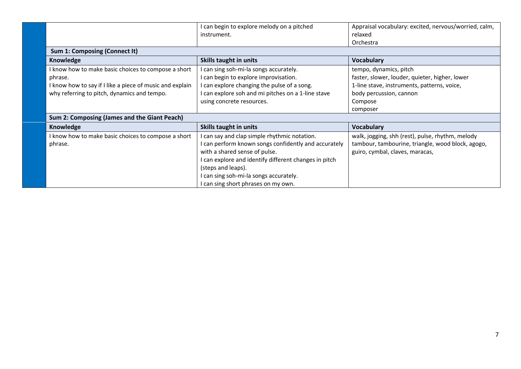|                                                          | can begin to explore melody on a pitched<br>instrument. | Appraisal vocabulary: excited, nervous/worried, calm,<br>relaxed |
|----------------------------------------------------------|---------------------------------------------------------|------------------------------------------------------------------|
|                                                          |                                                         | Orchestra                                                        |
| Sum 1: Composing (Connect It)                            |                                                         |                                                                  |
| Knowledge                                                | Skills taught in units                                  | <b>Vocabulary</b>                                                |
| I know how to make basic choices to compose a short      | can sing soh-mi-la songs accurately.                    | tempo, dynamics, pitch                                           |
| phrase.                                                  | can begin to explore improvisation.                     | faster, slower, louder, quieter, higher, lower                   |
| I know how to say if I like a piece of music and explain | can explore changing the pulse of a song.               | 1-line stave, instruments, patterns, voice,                      |
| why referring to pitch, dynamics and tempo.              | can explore soh and mi pitches on a 1-line stave        | body percussion, cannon                                          |
|                                                          | using concrete resources.                               | Compose                                                          |
|                                                          |                                                         | composer                                                         |
| Sum 2: Composing (James and the Giant Peach)             |                                                         |                                                                  |
| Knowledge                                                | <b>Skills taught in units</b>                           | <b>Vocabulary</b>                                                |
| I know how to make basic choices to compose a short      | can say and clap simple rhythmic notation.              | walk, jogging, shh (rest), pulse, rhythm, melody                 |
| phrase.                                                  | can perform known songs confidently and accurately      | tambour, tambourine, triangle, wood block, agogo,                |
|                                                          | with a shared sense of pulse.                           | guiro, cymbal, claves, maracas,                                  |
|                                                          | can explore and identify different changes in pitch     |                                                                  |
|                                                          | (steps and leaps).                                      |                                                                  |
|                                                          | can sing soh-mi-la songs accurately.                    |                                                                  |
|                                                          | can sing short phrases on my own.                       |                                                                  |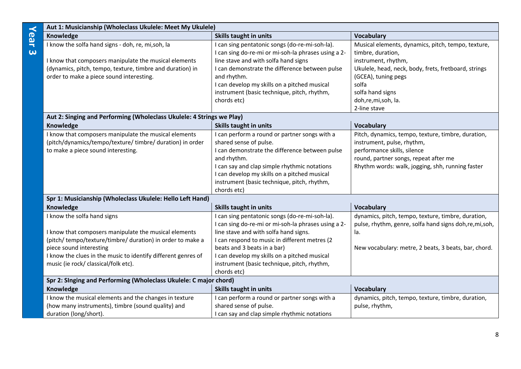| Aut 1: Musicianship (Wholeclass Ukulele: Meet My Ukulele)<br>$\prec$ |                                                                                                                                                                          |                                                                                                                                                                                                                                                                                                        |                                                                                                                                                                                                              |
|----------------------------------------------------------------------|--------------------------------------------------------------------------------------------------------------------------------------------------------------------------|--------------------------------------------------------------------------------------------------------------------------------------------------------------------------------------------------------------------------------------------------------------------------------------------------------|--------------------------------------------------------------------------------------------------------------------------------------------------------------------------------------------------------------|
| <b>Gar</b>                                                           | Knowledge                                                                                                                                                                | <b>Skills taught in units</b>                                                                                                                                                                                                                                                                          | <b>Vocabulary</b>                                                                                                                                                                                            |
| $\overline{\omega}$                                                  | I know the solfa hand signs - doh, re, mi, soh, la<br>I know that composers manipulate the musical elements<br>(dynamics, pitch, tempo, texture, timbre and duration) in | I can sing pentatonic songs (do-re-mi-soh-la).<br>I can sing do-re-mi or mi-soh-la phrases using a 2-<br>line stave and with solfa hand signs<br>I can demonstrate the difference between pulse                                                                                                        | Musical elements, dynamics, pitch, tempo, texture,<br>timbre, duration,<br>instrument, rhythm,<br>Ukulele, head, neck, body, frets, fretboard, strings                                                       |
|                                                                      | order to make a piece sound interesting.                                                                                                                                 | and rhythm.<br>I can develop my skills on a pitched musical<br>instrument (basic technique, pitch, rhythm,<br>chords etc)                                                                                                                                                                              | (GCEA), tuning pegs<br>solfa<br>solfa hand signs<br>doh,re,mi,soh, la.<br>2-line stave                                                                                                                       |
|                                                                      | Aut 2: Singing and Performing (Wholeclass Ukulele: 4 Strings we Play)                                                                                                    |                                                                                                                                                                                                                                                                                                        |                                                                                                                                                                                                              |
|                                                                      | Knowledge                                                                                                                                                                | <b>Skills taught in units</b>                                                                                                                                                                                                                                                                          | <b>Vocabulary</b>                                                                                                                                                                                            |
|                                                                      | I know that composers manipulate the musical elements<br>(pitch/dynamics/tempo/texture/ timbre/ duration) in order<br>to make a piece sound interesting.                 | I can perform a round or partner songs with a<br>shared sense of pulse.<br>I can demonstrate the difference between pulse<br>and rhythm.<br>I can say and clap simple rhythmic notations<br>I can develop my skills on a pitched musical<br>instrument (basic technique, pitch, rhythm,<br>chords etc) | Pitch, dynamics, tempo, texture, timbre, duration,<br>instrument, pulse, rhythm,<br>performance skills, silence<br>round, partner songs, repeat after me<br>Rhythm words: walk, jogging, shh, running faster |
|                                                                      | Spr 1: Musicianship (Wholeclass Ukulele: Hello Left Hand)                                                                                                                |                                                                                                                                                                                                                                                                                                        |                                                                                                                                                                                                              |
|                                                                      | Knowledge                                                                                                                                                                | <b>Skills taught in units</b>                                                                                                                                                                                                                                                                          | <b>Vocabulary</b>                                                                                                                                                                                            |
|                                                                      | I know the solfa hand signs<br>I know that composers manipulate the musical elements<br>(pitch/ tempo/texture/timbre/ duration) in order to make a                       | I can sing pentatonic songs (do-re-mi-soh-la).<br>I can sing do-re-mi or mi-soh-la phrases using a 2-<br>line stave and with solfa hand signs.<br>I can respond to music in different metres (2                                                                                                        | dynamics, pitch, tempo, texture, timbre, duration,<br>pulse, rhythm, genre, solfa hand signs doh, re, mi, soh,<br>la.                                                                                        |
|                                                                      | piece sound interesting<br>I know the clues in the music to identify different genres of<br>music (ie rock/ classical/folk etc).                                         | beats and 3 beats in a bar)<br>I can develop my skills on a pitched musical<br>instrument (basic technique, pitch, rhythm,<br>chords etc)                                                                                                                                                              | New vocabulary: metre, 2 beats, 3 beats, bar, chord.                                                                                                                                                         |
|                                                                      | Spr 2: Singing and Performing (Wholeclass Ukulele: C major chord)                                                                                                        |                                                                                                                                                                                                                                                                                                        |                                                                                                                                                                                                              |
|                                                                      | Knowledge                                                                                                                                                                | <b>Skills taught in units</b>                                                                                                                                                                                                                                                                          | <b>Vocabulary</b>                                                                                                                                                                                            |
|                                                                      | I know the musical elements and the changes in texture<br>(how many instruments), timbre (sound quality) and<br>duration (long/short).                                   | I can perform a round or partner songs with a<br>shared sense of pulse.<br>I can say and clap simple rhythmic notations                                                                                                                                                                                | dynamics, pitch, tempo, texture, timbre, duration,<br>pulse, rhythm,                                                                                                                                         |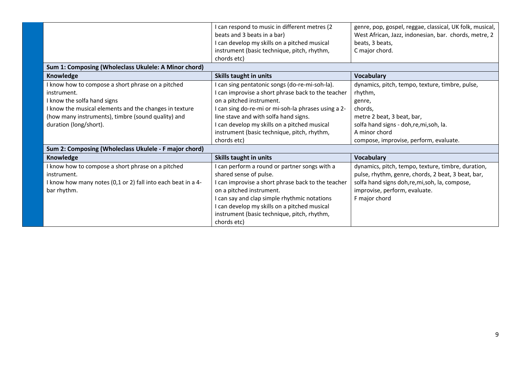|                                                                                                                                                                                                                                                                                                    | can respond to music in different metres (2<br>beats and 3 beats in a bar)<br>can develop my skills on a pitched musical<br>instrument (basic technique, pitch, rhythm,<br>chords etc)                                                                                                                                                 | genre, pop, gospel, reggae, classical, UK folk, musical,<br>West African, Jazz, indonesian, bar. chords, metre, 2<br>beats, 3 beats,<br>C major chord.                                                               |
|----------------------------------------------------------------------------------------------------------------------------------------------------------------------------------------------------------------------------------------------------------------------------------------------------|----------------------------------------------------------------------------------------------------------------------------------------------------------------------------------------------------------------------------------------------------------------------------------------------------------------------------------------|----------------------------------------------------------------------------------------------------------------------------------------------------------------------------------------------------------------------|
| Sum 1: Composing (Wholeclass Ukulele: A Minor chord)                                                                                                                                                                                                                                               |                                                                                                                                                                                                                                                                                                                                        |                                                                                                                                                                                                                      |
| Knowledge                                                                                                                                                                                                                                                                                          | Skills taught in units                                                                                                                                                                                                                                                                                                                 | <b>Vocabulary</b>                                                                                                                                                                                                    |
| I know how to compose a short phrase on a pitched<br>instrument.<br>I know the solfa hand signs<br>I know the musical elements and the changes in texture<br>(how many instruments), timbre (sound quality) and<br>duration (long/short).<br>Sum 2: Composing (Wholeclass Ukulele - F major chord) | can sing pentatonic songs (do-re-mi-soh-la).<br>can improvise a short phrase back to the teacher<br>on a pitched instrument.<br>can sing do-re-mi or mi-soh-la phrases using a 2-<br>line stave and with solfa hand signs.<br>can develop my skills on a pitched musical<br>instrument (basic technique, pitch, rhythm,<br>chords etc) | dynamics, pitch, tempo, texture, timbre, pulse,<br>rhythm,<br>genre,<br>chords,<br>metre 2 beat, 3 beat, bar,<br>solfa hand signs - doh, re, mi, soh, la.<br>A minor chord<br>compose, improvise, perform, evaluate. |
| Knowledge                                                                                                                                                                                                                                                                                          | Skills taught in units                                                                                                                                                                                                                                                                                                                 | <b>Vocabulary</b>                                                                                                                                                                                                    |
| I know how to compose a short phrase on a pitched<br>instrument.<br>I know how many notes (0,1 or 2) fall into each beat in a 4-<br>bar rhythm.                                                                                                                                                    | can perform a round or partner songs with a<br>shared sense of pulse.<br>can improvise a short phrase back to the teacher<br>on a pitched instrument.<br>can say and clap simple rhythmic notations<br>can develop my skills on a pitched musical<br>instrument (basic technique, pitch, rhythm,<br>chords etc)                        | dynamics, pitch, tempo, texture, timbre, duration,<br>pulse, rhythm, genre, chords, 2 beat, 3 beat, bar,<br>solfa hand signs doh, re, mi, soh, la, compose,<br>improvise, perform, evaluate.<br>F major chord        |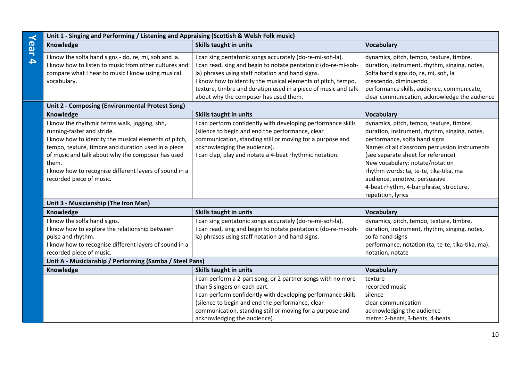| $\prec$          | Unit 1 - Singing and Performing / Listening and Appraising (Scottish & Welsh Folk music)                                                                                                                                                                                                                                                        |                                                                                                                                                                                                                                                                                                                                                            |                                                                                                                                                                                                                                                                                                                                                                                                  |
|------------------|-------------------------------------------------------------------------------------------------------------------------------------------------------------------------------------------------------------------------------------------------------------------------------------------------------------------------------------------------|------------------------------------------------------------------------------------------------------------------------------------------------------------------------------------------------------------------------------------------------------------------------------------------------------------------------------------------------------------|--------------------------------------------------------------------------------------------------------------------------------------------------------------------------------------------------------------------------------------------------------------------------------------------------------------------------------------------------------------------------------------------------|
| <b>Gar</b>       | Knowledge                                                                                                                                                                                                                                                                                                                                       | <b>Skills taught in units</b>                                                                                                                                                                                                                                                                                                                              | <b>Vocabulary</b>                                                                                                                                                                                                                                                                                                                                                                                |
| $\blacktriangle$ | I know the solfa hand signs - do, re, mi, soh and la.<br>I know how to listen to music from other cultures and<br>compare what I hear to music I know using musical<br>vocabulary.                                                                                                                                                              | I can sing pentatonic songs accurately (do-re-mi-soh-la).<br>I can read, sing and begin to notate pentatonic (do-re-mi-soh-<br>la) phrases using staff notation and hand signs.<br>I know how to identify the musical elements of pitch, tempo,<br>texture, timbre and duration used in a piece of music and talk<br>about why the composer has used them. | dynamics, pitch, tempo, texture, timbre,<br>duration, instrument, rhythm, singing, notes,<br>Solfa hand signs do, re, mi, soh, la<br>crescendo, diminuendo<br>performance skills, audience, communicate,<br>clear communication, acknowledge the audience                                                                                                                                        |
|                  | Unit 2 - Composing (Environmental Protest Song)                                                                                                                                                                                                                                                                                                 |                                                                                                                                                                                                                                                                                                                                                            |                                                                                                                                                                                                                                                                                                                                                                                                  |
|                  | Knowledge                                                                                                                                                                                                                                                                                                                                       | <b>Skills taught in units</b>                                                                                                                                                                                                                                                                                                                              | <b>Vocabulary</b>                                                                                                                                                                                                                                                                                                                                                                                |
|                  | I know the rhythmic terms walk, jogging, shh,<br>running-faster and stride.<br>I know how to identify the musical elements of pitch,<br>tempo, texture, timbre and duration used in a piece<br>of music and talk about why the composer has used<br>them.<br>I know how to recognise different layers of sound in a<br>recorded piece of music. | I can perform confidently with developing performance skills<br>(silence to begin and end the performance, clear<br>communication, standing still or moving for a purpose and<br>acknowledging the audience).<br>I can clap, play and notate a 4-beat rhythmic notation.                                                                                   | dynamics, pitch, tempo, texture, timbre,<br>duration, instrument, rhythm, singing, notes,<br>performance, solfa hand signs<br>Names of all classroom percussion instruments<br>(see separate sheet for reference)<br>New vocabulary: notate/notation<br>rhythm words: ta, te-te, tika-tika, ma<br>audience, emotive, persuasive<br>4-beat rhythm, 4-bar phrase, structure,<br>repetition, lyrics |
|                  | Unit 3 - Musicianship (The Iron Man)                                                                                                                                                                                                                                                                                                            |                                                                                                                                                                                                                                                                                                                                                            |                                                                                                                                                                                                                                                                                                                                                                                                  |
|                  | Knowledge                                                                                                                                                                                                                                                                                                                                       | <b>Skills taught in units</b>                                                                                                                                                                                                                                                                                                                              | <b>Vocabulary</b>                                                                                                                                                                                                                                                                                                                                                                                |
|                  | I know the solfa hand signs.<br>I know how to explore the relationship between<br>pulse and rhythm.<br>I know how to recognise different layers of sound in a<br>recorded piece of music.                                                                                                                                                       | I can sing pentatonic songs accurately (do-re-mi-soh-la).<br>I can read, sing and begin to notate pentatonic (do-re-mi-soh-<br>la) phrases using staff notation and hand signs.                                                                                                                                                                            | dynamics, pitch, tempo, texture, timbre,<br>duration, instrument, rhythm, singing, notes,<br>solfa hand signs<br>performance, notation (ta, te-te, tika-tika, ma).<br>notation, notate                                                                                                                                                                                                           |
|                  | Unit A - Musicianship / Performing (Samba / Steel Pans)                                                                                                                                                                                                                                                                                         |                                                                                                                                                                                                                                                                                                                                                            |                                                                                                                                                                                                                                                                                                                                                                                                  |
|                  | Knowledge                                                                                                                                                                                                                                                                                                                                       | Skills taught in units                                                                                                                                                                                                                                                                                                                                     | <b>Vocabulary</b>                                                                                                                                                                                                                                                                                                                                                                                |
|                  |                                                                                                                                                                                                                                                                                                                                                 | I can perform a 2-part song, or 2 partner songs with no more<br>than 5 singers on each part.<br>I can perform confidently with developing performance skills<br>(silence to begin and end the performance, clear<br>communication, standing still or moving for a purpose and<br>acknowledging the audience).                                              | texture<br>recorded music<br>silence<br>clear communication<br>acknowledging the audience<br>metre: 2-beats, 3-beats, 4-beats                                                                                                                                                                                                                                                                    |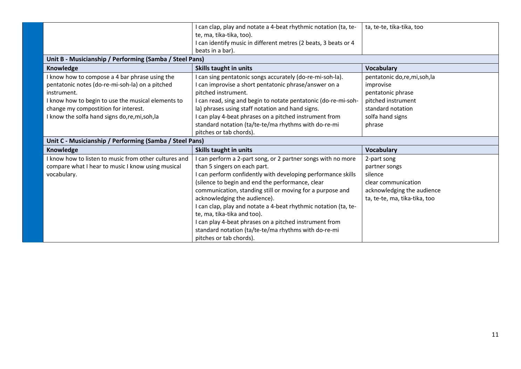|                                                         | I can clap, play and notate a 4-beat rhythmic notation (ta, te-<br>te, ma, tika-tika, too).<br>I can identify music in different metres (2 beats, 3 beats or 4<br>beats in a bar). | ta, te-te, tika-tika, too     |
|---------------------------------------------------------|------------------------------------------------------------------------------------------------------------------------------------------------------------------------------------|-------------------------------|
| Unit B - Musicianship / Performing (Samba / Steel Pans) |                                                                                                                                                                                    |                               |
| <b>Knowledge</b>                                        | <b>Skills taught in units</b>                                                                                                                                                      | <b>Vocabulary</b>             |
| I know how to compose a 4 bar phrase using the          | I can sing pentatonic songs accurately (do-re-mi-soh-la).                                                                                                                          | pentatonic do,re,mi,soh,la    |
| pentatonic notes (do-re-mi-soh-la) on a pitched         | I can improvise a short pentatonic phrase/answer on a                                                                                                                              | improvise                     |
| instrument.                                             | pitched instrument.                                                                                                                                                                | pentatonic phrase             |
| I know how to begin to use the musical elements to      | I can read, sing and begin to notate pentatonic (do-re-mi-soh-                                                                                                                     | pitched instrument            |
| change my compostition for interest.                    | la) phrases using staff notation and hand signs.                                                                                                                                   | standard notation             |
| I know the solfa hand signs do, re, mi, soh, la         | I can play 4-beat phrases on a pitched instrument from                                                                                                                             | solfa hand signs              |
|                                                         | standard notation (ta/te-te/ma rhythms with do-re-mi                                                                                                                               | phrase                        |
|                                                         | pitches or tab chords).                                                                                                                                                            |                               |
| Unit C - Musicianship / Performing (Samba / Steel Pans) |                                                                                                                                                                                    |                               |
| <b>Knowledge</b>                                        | <b>Skills taught in units</b>                                                                                                                                                      | <b>Vocabulary</b>             |
| I know how to listen to music from other cultures and   | I can perform a 2-part song, or 2 partner songs with no more                                                                                                                       | 2-part song                   |
| compare what I hear to music I know using musical       | than 5 singers on each part.                                                                                                                                                       | partner songs                 |
| vocabulary.                                             | I can perform confidently with developing performance skills                                                                                                                       | silence                       |
|                                                         | (silence to begin and end the performance, clear                                                                                                                                   | clear communication           |
|                                                         | communication, standing still or moving for a purpose and                                                                                                                          | acknowledging the audience    |
|                                                         | acknowledging the audience).                                                                                                                                                       | ta, te-te, ma, tika-tika, too |
|                                                         | I can clap, play and notate a 4-beat rhythmic notation (ta, te-                                                                                                                    |                               |
|                                                         | te, ma, tika-tika and too).                                                                                                                                                        |                               |
|                                                         | I can play 4-beat phrases on a pitched instrument from                                                                                                                             |                               |
|                                                         | standard notation (ta/te-te/ma rhythms with do-re-mi                                                                                                                               |                               |
|                                                         | pitches or tab chords).                                                                                                                                                            |                               |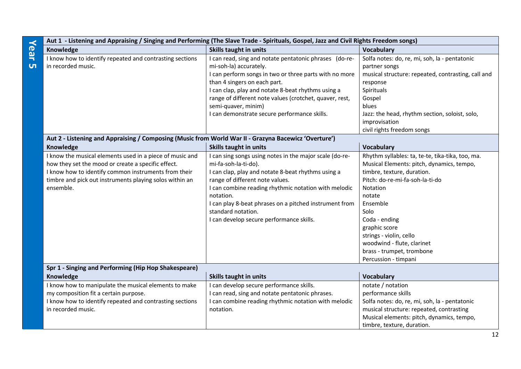|           | Aut 1 - Listening and Appraising / Singing and Performing (The Slave Trade - Spirituals, Gospel, Jazz and Civil Rights Freedom songs) |                                                         |                                                    |
|-----------|---------------------------------------------------------------------------------------------------------------------------------------|---------------------------------------------------------|----------------------------------------------------|
| Year      | Knowledge                                                                                                                             | <b>Skills taught in units</b>                           | <b>Vocabulary</b>                                  |
|           | I know how to identify repeated and contrasting sections                                                                              | I can read, sing and notate pentatonic phrases (do-re-  | Solfa notes: do, re, mi, soh, la - pentatonic      |
| <b>UT</b> | in recorded music.                                                                                                                    | mi-soh-la) accurately.                                  | partner songs                                      |
|           |                                                                                                                                       | I can perform songs in two or three parts with no more  | musical structure: repeated, contrasting, call and |
|           |                                                                                                                                       | than 4 singers on each part.                            | response                                           |
|           |                                                                                                                                       | I can clap, play and notate 8-beat rhythms using a      | Spirituals                                         |
|           |                                                                                                                                       | range of different note values (crotchet, quaver, rest, | Gospel                                             |
|           |                                                                                                                                       | semi-quaver, minim)                                     | blues                                              |
|           |                                                                                                                                       | I can demonstrate secure performance skills.            | Jazz: the head, rhythm section, soloist, solo,     |
|           |                                                                                                                                       |                                                         | improvisation                                      |
|           |                                                                                                                                       |                                                         | civil rights freedom songs                         |
|           | Aut 2 - Listening and Appraising / Composing (Music from World War II - Grazyna Bacewicz 'Overture')                                  |                                                         |                                                    |
|           | Knowledge                                                                                                                             | <b>Skills taught in units</b>                           | <b>Vocabulary</b>                                  |
|           | I know the musical elements used in a piece of music and                                                                              | I can sing songs using notes in the major scale (do-re- | Rhythm syllables: ta, te-te, tika-tika, too, ma.   |
|           | how they set the mood or create a specific effect.                                                                                    | mi-fa-soh-la-ti-do).                                    | Musical Elements: pitch, dynamics, tempo,          |
|           | I know how to identify common instruments from their                                                                                  | I can clap, play and notate 8-beat rhythms using a      | timbre, texture, duration.                         |
|           | timbre and pick out instruments playing solos within an                                                                               | range of different note values.                         | Pitch: do-re-mi-fa-soh-la-ti-do                    |
|           | ensemble.                                                                                                                             | I can combine reading rhythmic notation with melodic    | Notation                                           |
|           |                                                                                                                                       | notation.                                               | notate                                             |
|           |                                                                                                                                       | I can play 8-beat phrases on a pitched instrument from  | Ensemble                                           |
|           |                                                                                                                                       | standard notation.                                      | Solo                                               |
|           |                                                                                                                                       | I can develop secure performance skills.                | Coda - ending                                      |
|           |                                                                                                                                       |                                                         | graphic score                                      |
|           |                                                                                                                                       |                                                         | strings - violin, cello                            |
|           |                                                                                                                                       |                                                         | woodwind - flute, clarinet                         |
|           |                                                                                                                                       |                                                         | brass - trumpet, trombone                          |
|           |                                                                                                                                       |                                                         | Percussion - timpani                               |
|           | Spr 1 - Singing and Performing (Hip Hop Shakespeare)                                                                                  |                                                         |                                                    |
|           | Knowledge                                                                                                                             | Skills taught in units                                  | <b>Vocabulary</b>                                  |
|           | I know how to manipulate the musical elements to make                                                                                 | I can develop secure performance skills.                | notate / notation                                  |
|           | my composition fit a certain purpose.                                                                                                 | I can read, sing and notate pentatonic phrases.         | performance skills                                 |
|           | I know how to identify repeated and contrasting sections                                                                              | I can combine reading rhythmic notation with melodic    | Solfa notes: do, re, mi, soh, la - pentatonic      |
|           | in recorded music.                                                                                                                    | notation.                                               | musical structure: repeated, contrasting           |
|           |                                                                                                                                       |                                                         | Musical elements: pitch, dynamics, tempo,          |
|           |                                                                                                                                       |                                                         | timbre, texture, duration.                         |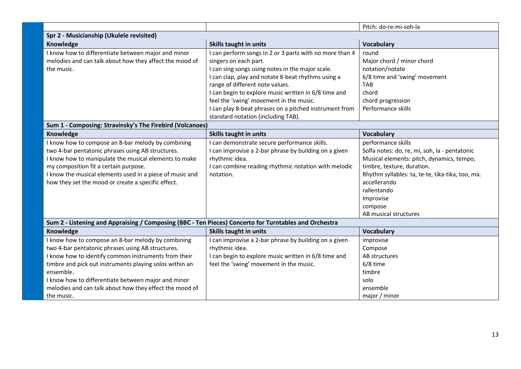|                                                                                                       |                                                         | Pitch: do-re-mi-soh-la                           |  |  |
|-------------------------------------------------------------------------------------------------------|---------------------------------------------------------|--------------------------------------------------|--|--|
| Spr 2 - Musicianship (Ukulele revisited)                                                              |                                                         |                                                  |  |  |
| Knowledge                                                                                             | <b>Skills taught in units</b>                           | Vocabulary                                       |  |  |
| I know how to differentiate between major and minor                                                   | I can perform songs in 2 or 3 parts with no more than 4 | round                                            |  |  |
| melodies and can talk about how they affect the mood of                                               | singers on each part.                                   | Major chord / minor chord                        |  |  |
| the music.                                                                                            | I can sing songs using notes in the major scale.        | notation/notate                                  |  |  |
|                                                                                                       | I can clap, play and notate 8-beat rhythms using a      | 6/8 time and 'swing' movement                    |  |  |
|                                                                                                       | range of different note values.                         | <b>TAB</b>                                       |  |  |
|                                                                                                       | I can begin to explore music written in 6/8 time and    | chord                                            |  |  |
|                                                                                                       | feel the 'swing' movement in the music.                 | chord progression                                |  |  |
|                                                                                                       | I can play 8-beat phrases on a pitched instrument from  | Performance skills                               |  |  |
|                                                                                                       | standard notation (including TAB).                      |                                                  |  |  |
| Sum 1 - Composing: Stravinsky's The Firebird (Volcanoes)                                              |                                                         |                                                  |  |  |
| Knowledge                                                                                             | <b>Skills taught in units</b>                           | <b>Vocabulary</b>                                |  |  |
| I know how to compose an 8-bar melody by combining                                                    | I can demonstrate secure performance skills.            | performance skills                               |  |  |
| two 4-bar pentatonic phrases using AB structures.                                                     | I can improvise a 2-bar phrase by building on a given   | Solfa notes: do, re, mi, soh, la - pentatonic    |  |  |
| I know how to manipulate the musical elements to make                                                 | rhythmic idea.                                          | Musical elements: pitch, dynamics, tempo,        |  |  |
| my composition fit a certain purpose.                                                                 | I can combine reading rhythmic notation with melodic    | timbre, texture, duration.                       |  |  |
| I know the musical elements used in a piece of music and                                              | notation.                                               | Rhythm syllables: ta, te-te, tika-tika, too, ma. |  |  |
| how they set the mood or create a specific effect.                                                    |                                                         | accellerando                                     |  |  |
|                                                                                                       |                                                         | rallentando                                      |  |  |
|                                                                                                       |                                                         | Improvise                                        |  |  |
|                                                                                                       |                                                         | compose                                          |  |  |
|                                                                                                       |                                                         | AB musical structures                            |  |  |
| Sum 2 - Listening and Appraising / Composing (BBC - Ten Pieces) Concerto for Turntables and Orchestra |                                                         |                                                  |  |  |
| Knowledge                                                                                             | Skills taught in units                                  | <b>Vocabulary</b>                                |  |  |
| I know how to compose an 8-bar melody by combining                                                    | I can improvise a 2-bar phrase by building on a given   | improvise                                        |  |  |
| two 4-bar pentatonic phrases using AB structures.                                                     | rhythmic idea.                                          | Compose                                          |  |  |
| I know how to identify common instruments from their                                                  | I can begin to explore music written in 6/8 time and    | AB structures                                    |  |  |
| timbre and pick out instruments playing solos within an                                               | feel the 'swing' movement in the music.                 | 6/8 time                                         |  |  |
| ensemble.                                                                                             |                                                         | timbre                                           |  |  |
| I know how to differentiate between major and minor                                                   |                                                         | solo                                             |  |  |
| melodies and can talk about how they effect the mood of                                               |                                                         | ensemble                                         |  |  |
| the music.                                                                                            |                                                         | major / minor                                    |  |  |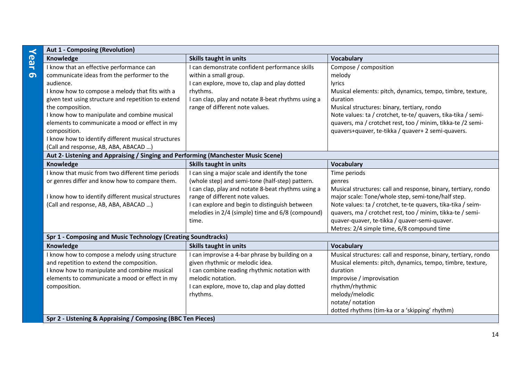| $\prec$    | <b>Aut 1 - Composing (Revolution)</b>                                             |                                                    |                                                                |  |  |
|------------|-----------------------------------------------------------------------------------|----------------------------------------------------|----------------------------------------------------------------|--|--|
| <b>Gar</b> | Knowledge                                                                         | Skills taught in units                             | <b>Vocabulary</b>                                              |  |  |
|            | I know that an effective performance can                                          | can demonstrate confident performance skills       | Compose / composition                                          |  |  |
| 6          | communicate ideas from the performer to the                                       | within a small group.                              | melody                                                         |  |  |
|            | audience.                                                                         | I can explore, move to, clap and play dotted       | lyrics                                                         |  |  |
|            | I know how to compose a melody that fits with a                                   | rhythms.                                           | Musical elements: pitch, dynamics, tempo, timbre, texture,     |  |  |
|            | given text using structure and repetition to extend                               | I can clap, play and notate 8-beat rhythms using a | duration                                                       |  |  |
|            | the composition.                                                                  | range of different note values.                    | Musical structures: binary, tertiary, rondo                    |  |  |
|            | I know how to manipulate and combine musical                                      |                                                    | Note values: ta / crotchet, te-te/ quavers, tika-tika / semi-  |  |  |
|            | elements to communicate a mood or effect in my                                    |                                                    | quavers, ma / crotchet rest, too / minim, tikka-te /2 semi-    |  |  |
|            | composition.                                                                      |                                                    | quavers+quaver, te-tikka / quaver+ 2 semi-quavers.             |  |  |
|            | I know how to identify different musical structures                               |                                                    |                                                                |  |  |
|            | (Call and response, AB, ABA, ABACAD )                                             |                                                    |                                                                |  |  |
|            | Aut 2- Listening and Appraising / Singing and Performing (Manchester Music Scene) |                                                    |                                                                |  |  |
|            | Knowledge                                                                         | <b>Skills taught in units</b>                      | <b>Vocabulary</b>                                              |  |  |
|            | I know that music from two different time periods                                 | I can sing a major scale and identify the tone     | Time periods                                                   |  |  |
|            | or genres differ and know how to compare them.                                    | (whole step) and semi-tone (half-step) pattern.    | genres                                                         |  |  |
|            |                                                                                   | I can clap, play and notate 8-beat rhythms using a | Musical structures: call and response, binary, tertiary, rondo |  |  |
|            | I know how to identify different musical structures                               | range of different note values.                    | major scale: Tone/whole step, semi-tone/half step.             |  |  |
|            | (Call and response, AB, ABA, ABACAD )                                             | I can explore and begin to distinguish between     | Note values: ta / crotchet, te-te quavers, tika-tika / seim-   |  |  |
|            |                                                                                   | melodies in 2/4 (simple) time and 6/8 (compound)   | quavers, ma / crotchet rest, too / minim, tikka-te / semi-     |  |  |
|            |                                                                                   | time.                                              | quaver-quaver, te-tikka / quaver-semi-quaver.                  |  |  |
|            |                                                                                   |                                                    | Metres: 2/4 simple time, 6/8 compound time                     |  |  |
|            | Spr 1 - Composing and Music Technology (Creating Soundtracks)                     |                                                    |                                                                |  |  |
|            | Knowledge                                                                         | Skills taught in units                             | <b>Vocabulary</b>                                              |  |  |
|            | I know how to compose a melody using structure                                    | can improvise a 4-bar phrase by building on a      | Musical structures: call and response, binary, tertiary, rondo |  |  |
|            | and repetition to extend the composition.                                         | given rhythmic or melodic idea.                    | Musical elements: pitch, dynamics, tempo, timbre, texture,     |  |  |
|            | I know how to manipulate and combine musical                                      | I can combine reading rhythmic notation with       | duration                                                       |  |  |
|            | elements to communicate a mood or effect in my                                    | melodic notation.                                  | Improvise / improvisation                                      |  |  |
|            | composition.                                                                      | I can explore, move to, clap and play dotted       | rhythm/rhythmic                                                |  |  |
|            |                                                                                   | rhythms.                                           | melody/melodic                                                 |  |  |
|            |                                                                                   |                                                    | notate/ notation                                               |  |  |
|            |                                                                                   |                                                    | dotted rhythms (tim-ka or a 'skipping' rhythm)                 |  |  |
|            | Spr 2 - Listening & Appraising / Composing (BBC Ten Pieces)                       |                                                    |                                                                |  |  |